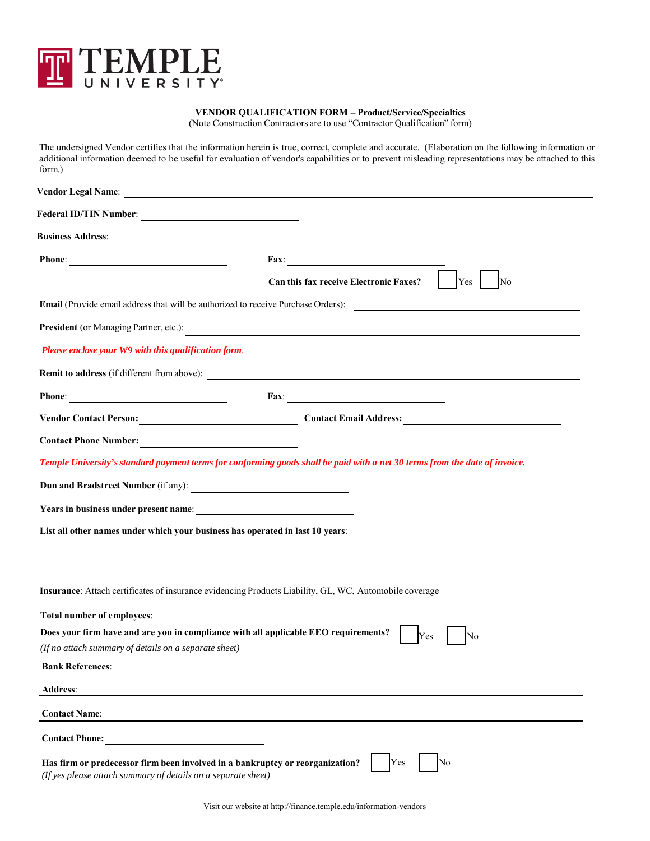

## **VENDOR QUALIFICATION FORM – Product/Service/Specialties**

(Note Construction Contractors are to use "Contractor Qualification" form)

The undersigned Vendor certifies that the information herein is true, correct, complete and accurate. (Elaboration on the following information or additional information deemed to be useful for evaluation of vendor's capabilities or to prevent misleading representations may be attached to this form.)

|                                                                                                                                                | Fax: $\qquad \qquad$                                                                                                        |
|------------------------------------------------------------------------------------------------------------------------------------------------|-----------------------------------------------------------------------------------------------------------------------------|
|                                                                                                                                                | <b>Can this fax receive Electronic Faxes?</b><br>Yes<br>No                                                                  |
|                                                                                                                                                | <b>Email</b> (Provide email address that will be authorized to receive Purchase Orders):                                    |
| President (or Managing Partner, etc.):                                                                                                         | <u> 1989 - Jan Samuel Barbara, martin d</u>                                                                                 |
| Please enclose your W9 with this qualification form.                                                                                           |                                                                                                                             |
|                                                                                                                                                |                                                                                                                             |
|                                                                                                                                                |                                                                                                                             |
|                                                                                                                                                | Vendor Contact Person: Contact Email Address: Contact Email Address:                                                        |
| Contact Phone Number:                                                                                                                          |                                                                                                                             |
|                                                                                                                                                | Temple University's standard payment terms for conforming goods shall be paid with a net 30 terms from the date of invoice. |
|                                                                                                                                                |                                                                                                                             |
|                                                                                                                                                |                                                                                                                             |
| List all other names under which your business has operated in last 10 years:                                                                  |                                                                                                                             |
|                                                                                                                                                |                                                                                                                             |
|                                                                                                                                                |                                                                                                                             |
| Insurance: Attach certificates of insurance evidencing Products Liability, GL, WC, Automobile coverage                                         |                                                                                                                             |
| Total number of employees: <u>contract the set of example</u> and the set of employees:                                                        |                                                                                                                             |
| Does your firm have and are you in compliance with all applicable EEO requirements?                                                            | Yes<br>No                                                                                                                   |
| (If no attach summary of details on a separate sheet)                                                                                          |                                                                                                                             |
| <b>Bank References:</b>                                                                                                                        |                                                                                                                             |
| <b>Address:</b>                                                                                                                                |                                                                                                                             |
| <b>Contact Name:</b>                                                                                                                           |                                                                                                                             |
| <b>Contact Phone:</b>                                                                                                                          |                                                                                                                             |
| Has firm or predecessor firm been involved in a bankruptcy or reorganization?<br>(If yes please attach summary of details on a separate sheet) | Yes<br>No                                                                                                                   |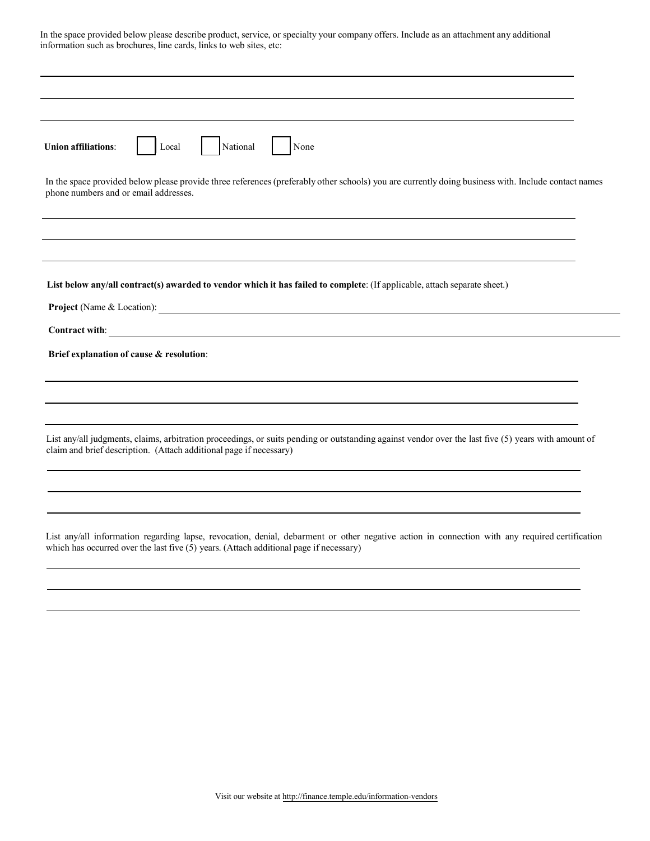| <b>Union affiliations:</b>            | Local                                                                                                                                                                                                                     | National | None |  |  |
|---------------------------------------|---------------------------------------------------------------------------------------------------------------------------------------------------------------------------------------------------------------------------|----------|------|--|--|
| phone numbers and or email addresses. | In the space provided below please provide three references (preferably other schools) you are currently doing business with. Include contact names                                                                       |          |      |  |  |
|                                       |                                                                                                                                                                                                                           |          |      |  |  |
|                                       |                                                                                                                                                                                                                           |          |      |  |  |
|                                       | List below any/all contract(s) awarded to vendor which it has failed to complete: (If applicable, attach separate sheet.)                                                                                                 |          |      |  |  |
|                                       | Project (Name & Location):                                                                                                                                                                                                |          |      |  |  |
|                                       |                                                                                                                                                                                                                           |          |      |  |  |
|                                       | Brief explanation of cause & resolution:                                                                                                                                                                                  |          |      |  |  |
|                                       |                                                                                                                                                                                                                           |          |      |  |  |
|                                       | List any/all judgments, claims, arbitration proceedings, or suits pending or outstanding against vendor over the last five (5) years with amount of<br>claim and brief description. (Attach additional page if necessary) |          |      |  |  |